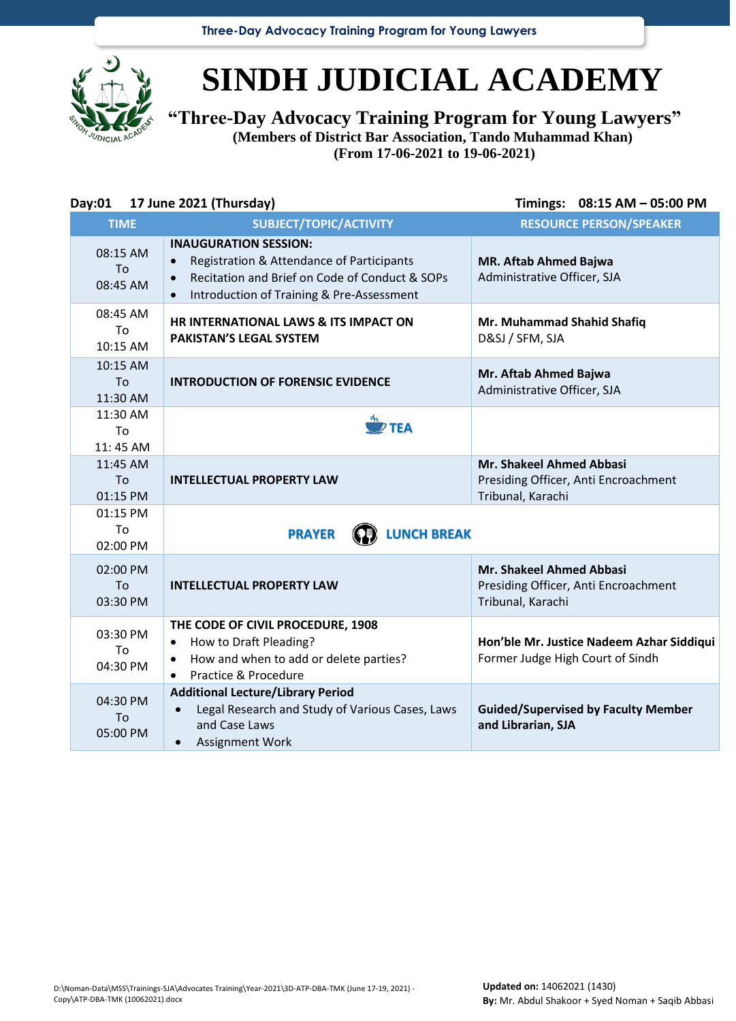**Three-Day Advocacy Training Program for Young Lawyers**



## **SINDH JUDICIAL ACADEMY**

**"Three-Day Advocacy Training Program for Young Lawyers" (Members of District Bar Association, Tando Muhammad Khan)**

**(From 17-06-2021 to 19-06-2021)**

| Day:01                     | 17 June 2021 (Thursday)                                                                                                                                                                            | Timings: 08:15 AM - 05:00 PM                                                                 |
|----------------------------|----------------------------------------------------------------------------------------------------------------------------------------------------------------------------------------------------|----------------------------------------------------------------------------------------------|
| <b>TIME</b>                | SUBJECT/TOPIC/ACTIVITY                                                                                                                                                                             | <b>RESOURCE PERSON/SPEAKER</b>                                                               |
| 08:15 AM<br>To<br>08:45 AM | <b>INAUGURATION SESSION:</b><br>Registration & Attendance of Participants<br>Recitation and Brief on Code of Conduct & SOPs<br>$\bullet$<br>Introduction of Training & Pre-Assessment<br>$\bullet$ | <b>MR. Aftab Ahmed Bajwa</b><br>Administrative Officer, SJA                                  |
| 08:45 AM<br>To<br>10:15 AM | HR INTERNATIONAL LAWS & ITS IMPACT ON<br><b>PAKISTAN'S LEGAL SYSTEM</b>                                                                                                                            | Mr. Muhammad Shahid Shafiq<br>D&SJ / SFM, SJA                                                |
| 10:15 AM<br>Tο<br>11:30 AM | <b>INTRODUCTION OF FORENSIC EVIDENCE</b>                                                                                                                                                           | Mr. Aftab Ahmed Bajwa<br>Administrative Officer, SJA                                         |
| 11:30 AM<br>To<br>11:45 AM | $\overline{P}$ TEA                                                                                                                                                                                 |                                                                                              |
| 11:45 AM<br>To<br>01:15 PM | <b>INTELLECTUAL PROPERTY LAW</b>                                                                                                                                                                   | <b>Mr. Shakeel Ahmed Abbasi</b><br>Presiding Officer, Anti Encroachment<br>Tribunal, Karachi |
| 01:15 PM<br>To<br>02:00 PM | <b>LUNCH BREAK</b><br><b>PRAYER</b>                                                                                                                                                                |                                                                                              |
| 02:00 PM<br>To<br>03:30 PM | <b>INTELLECTUAL PROPERTY LAW</b>                                                                                                                                                                   | <b>Mr. Shakeel Ahmed Abbasi</b><br>Presiding Officer, Anti Encroachment<br>Tribunal, Karachi |
| 03:30 PM<br>To<br>04:30 PM | THE CODE OF CIVIL PROCEDURE, 1908<br>How to Draft Pleading?<br>$\bullet$<br>How and when to add or delete parties?<br>$\bullet$<br>Practice & Procedure<br>$\bullet$                               | Hon'ble Mr. Justice Nadeem Azhar Siddiqui<br>Former Judge High Court of Sindh                |
| 04:30 PM<br>To<br>05:00 PM | <b>Additional Lecture/Library Period</b><br>Legal Research and Study of Various Cases, Laws<br>$\bullet$<br>and Case Laws<br><b>Assignment Work</b><br>$\bullet$                                   | <b>Guided/Supervised by Faculty Member</b><br>and Librarian, SJA                             |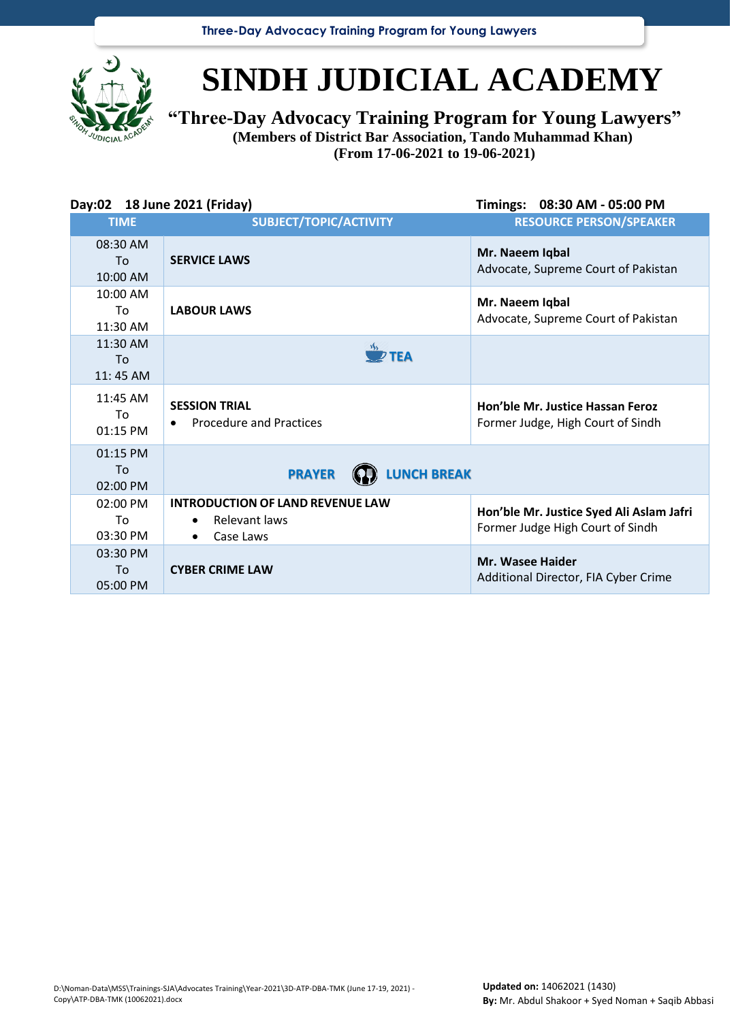**Three-Day Advocacy Training Program for Young Lawyers**



## **SINDH JUDICIAL ACADEMY**

**"Three-Day Advocacy Training Program for Young Lawyers"**

**(Members of District Bar Association, Tando Muhammad Khan) (From 17-06-2021 to 19-06-2021)**

| Day:02 18 June 2021 (Friday) |                                                                                                 | Timings: 08:30 AM - 05:00 PM                                                 |
|------------------------------|-------------------------------------------------------------------------------------------------|------------------------------------------------------------------------------|
| <b>TIME</b>                  | SUBJECT/TOPIC/ACTIVITY                                                                          | <b>RESOURCE PERSON/SPEAKER</b>                                               |
| 08:30 AM<br>To<br>10:00 AM   | <b>SERVICE LAWS</b>                                                                             | Mr. Naeem Iqbal<br>Advocate, Supreme Court of Pakistan                       |
| 10:00 AM<br>To<br>11:30 AM   | <b>LABOUR LAWS</b>                                                                              | Mr. Naeem Iqbal<br>Advocate, Supreme Court of Pakistan                       |
| 11:30 AM<br>Tο<br>$11:45$ AM | $\overline{\mathscr{D}}$ TEA                                                                    |                                                                              |
| 11:45 AM<br>Τo<br>01:15 PM   | <b>SESSION TRIAL</b><br><b>Procedure and Practices</b>                                          | Hon'ble Mr. Justice Hassan Feroz<br>Former Judge, High Court of Sindh        |
| 01:15 PM<br>To<br>02:00 PM   | <b>LUNCH BREAK</b><br><b>PRAYER</b>                                                             |                                                                              |
| $02:00$ PM<br>Τo<br>03:30 PM | <b>INTRODUCTION OF LAND REVENUE LAW</b><br>Relevant laws<br>$\bullet$<br>Case Laws<br>$\bullet$ | Hon'ble Mr. Justice Syed Ali Aslam Jafri<br>Former Judge High Court of Sindh |
| 03:30 PM<br>To<br>05:00 PM   | <b>CYBER CRIME LAW</b>                                                                          | <b>Mr. Wasee Haider</b><br>Additional Director, FIA Cyber Crime              |